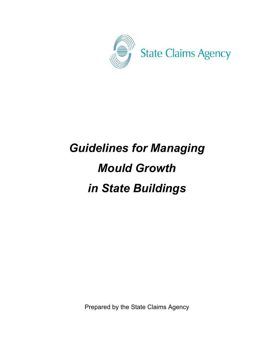

# *Guidelines for Managing Mould Growth in State Buildings*

Prepared by the State Claims Agency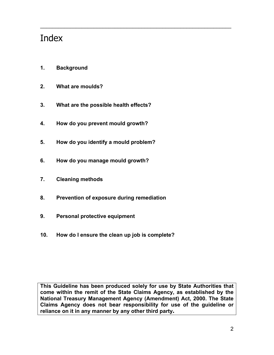## Index

- **1. Background**
- **2. What are moulds?**
- **3. What are the possible health effects?**
- **4. How do you prevent mould growth?**
- **5. How do you identify a mould problem?**
- **6. How do you manage mould growth?**
- **7. Cleaning methods**
- **8. Prevention of exposure during remediation**
- **9. Personal protective equipment**
- **10. How do I ensure the clean up job is complete?**

**This Guideline has been produced solely for use by State Authorities that come within the remit of the State Claims Agency, as established by the National Treasury Management Agency (Amendment) Act, 2000. The State Claims Agency does not bear responsibility for use of the guideline or reliance on it in any manner by any other third party.** 

\_\_\_\_\_\_\_\_\_\_\_\_\_\_\_\_\_\_\_\_\_\_\_\_\_\_\_\_\_\_\_\_\_\_\_\_\_\_\_\_\_\_\_\_\_\_\_\_\_\_\_\_\_\_\_\_\_\_\_\_\_\_\_\_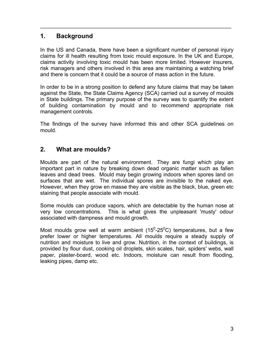## **1. Background**

In the US and Canada, there have been a significant number of personal injury claims for ill health resulting from toxic mould exposure. In the UK and Europe, claims activity involving toxic mould has been more limited. However insurers, risk managers and others involved in this area are maintaining a watching brief and there is concern that it could be a source of mass action in the future.

\_\_\_\_\_\_\_\_\_\_\_\_\_\_\_\_\_\_\_\_\_\_\_\_\_\_\_\_\_\_\_\_\_\_\_\_\_\_\_\_\_\_\_\_\_\_\_\_\_\_\_\_\_\_\_\_\_\_\_\_\_\_\_\_

In order to be in a strong position to defend any future claims that may be taken against the State, the State Claims Agency (SCA) carried out a survey of moulds in State buildings. The primary purpose of the survey was to quantify the extent of building contamination by mould and to recommend appropriate risk management controls*.* 

The findings of the survey have informed this and other SCA guidelines on mould.

## **2. What are moulds?**

Moulds are part of the natural environment. They are fungi which play an important part in nature by breaking down dead organic matter such as fallen leaves and dead trees. Mould may begin growing indoors when spores land on surfaces that are wet. The individual spores are invisible to the naked eye. However, when they grow en masse they are visible as the black, blue, green etc staining that people associate with mould.

Some moulds can produce vapors, which are detectable by the human nose at very low concentrations. This is what gives the unpleasant 'musty' odour associated with dampness and mould growth.

Most moulds grow well at warm ambient (15<sup>0</sup>-25<sup>0</sup>C) temperatures, but a few prefer lower or higher temperatures. All moulds require a steady supply of nutrition and moisture to live and grow. Nutrition, in the context of buildings, is provided by flour dust, cooking oil droplets, skin scales, hair, spiders' webs, wall paper, plaster-board, wood etc. Indoors, moisture can result from flooding, leaking pipes, damp etc.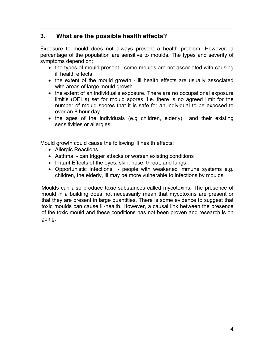## **3. What are the possible health effects?**

Exposure to mould does not always present a health problem. However, a percentage of the population are sensitive to moulds. The types and severity of symptoms depend on;

\_\_\_\_\_\_\_\_\_\_\_\_\_\_\_\_\_\_\_\_\_\_\_\_\_\_\_\_\_\_\_\_\_\_\_\_\_\_\_\_\_\_\_\_\_\_\_\_\_\_\_\_\_\_\_\_\_\_\_\_\_\_\_\_

- the types of mould present some moulds are not associated with causing ill health effects
- the extent of the mould growth ill health effects are usually associated with areas of large mould growth
- the extent of an individual's exposure. There are no occupational exposure limit's (OEL's) set for mould spores, i.e. there is no agreed limit for the number of mould spores that it is safe for an individual to be exposed to over an 8 hour day.
- the ages of the individuals (e.g children, elderly) and their existing sensitivities or allergies.

Mould growth could cause the following ill health effects;

- Allergic Reactions
- Asthma can trigger attacks or worsen existing conditions
- Irritant Effects of the eyes, skin, nose, throat, and lungs
- Opportunistic Infections people with weakened immune systems e.g. children, the elderly, ill may be more vulnerable to infections by moulds.

Moulds can also produce toxic substances called mycotoxins. The presence of mould in a building does not necessarily mean that mycotoxins are present or that they are present in large quantities. There is some evidence to suggest that toxic moulds can cause ill-health. However, a causal link between the presence of the toxic mould and these conditions has not been proven and research is on going.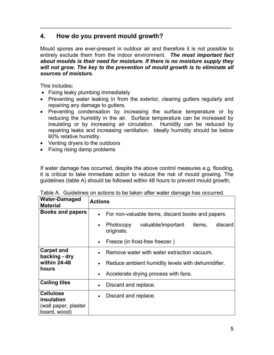## **4. How do you prevent mould growth?**

Mould spores are ever-present in outdoor air and therefore it is not possible to entirely exclude them from the indoor environment. *The most important fact about moulds is their need for moisture. If there is no moisture supply they will not grow. The key to the prevention of mould growth is to eliminate all sources of moisture.* 

\_\_\_\_\_\_\_\_\_\_\_\_\_\_\_\_\_\_\_\_\_\_\_\_\_\_\_\_\_\_\_\_\_\_\_\_\_\_\_\_\_\_\_\_\_\_\_\_\_\_\_\_\_\_\_\_\_\_\_\_\_\_\_\_

This includes;

- Fixing leaky plumbing immediately
- Preventing water leaking in from the exterior, clearing gutters regularly and repairing any damage to gutters.
- Preventing condensation by increasing the surface temperature or by reducing the humidity in the air. Surface temperature can be increased by insulating or by increasing air circulation. Humidity can be reduced by repairing leaks and increasing ventilation. Ideally humidity should be below 60% relative humidity.
- Venting dryers to the outdoors
- Fixing rising damp problems

If water damage has occurred, despite the above control measures e.g. flooding, it is critical to take immediate action to reduce the risk of mould growing. The guidelines (table A) should be followed within 48 hours to prevent mould growth;

| <b>Water-Damaged</b><br><b>Material</b>                                | <b>Actions</b> |                                                   |                                |        |         |  |  |
|------------------------------------------------------------------------|----------------|---------------------------------------------------|--------------------------------|--------|---------|--|--|
| <b>Books and papers</b>                                                |                | For non-valuable items, discard books and papers. |                                |        |         |  |  |
|                                                                        |                | Photocopy<br>originals.                           | valuable/important             | items, | discard |  |  |
|                                                                        |                |                                                   | Freeze (in frost-free freezer) |        |         |  |  |
| <b>Carpet and</b><br>backing - dry                                     |                | Remove water with water extraction vacuum.        |                                |        |         |  |  |
| within 24-48                                                           |                | Reduce ambient humidity levels with dehumidifier. |                                |        |         |  |  |
| hours                                                                  | $\bullet$      | Accelerate drying process with fans.              |                                |        |         |  |  |
| <b>Ceiling tiles</b>                                                   |                | Discard and replace.                              |                                |        |         |  |  |
| <b>Cellulose</b><br>insulation<br>(wall paper, plaster<br>board, wood) |                | Discard and replace.                              |                                |        |         |  |  |

Table A. Guidelines on actions to be taken after water damage has occurred.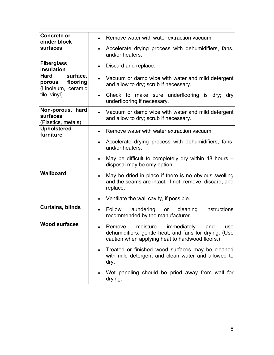| <b>Concrete or</b><br>cinder block                                  | Remove water with water extraction vacuum.                                                                                                               |
|---------------------------------------------------------------------|----------------------------------------------------------------------------------------------------------------------------------------------------------|
| surfaces                                                            | Accelerate drying process with dehumidifiers, fans,<br>$\bullet$<br>and/or heaters.                                                                      |
| <b>Fiberglass</b><br>insulation                                     | Discard and replace.<br>$\bullet$                                                                                                                        |
| surface,<br><b>Hard</b><br>flooring<br>porous<br>(Linoleum, ceramic | Vacuum or damp wipe with water and mild detergent<br>and allow to dry; scrub if necessary.                                                               |
| tile, vinyl)                                                        | Check to make sure underflooring is dry; dry<br>underflooring if necessary.                                                                              |
| Non-porous, hard<br>surfaces<br>(Plastics, metals)                  | Vacuum or damp wipe with water and mild detergent<br>$\bullet$<br>and allow to dry; scrub if necessary.                                                  |
| <b>Upholstered</b><br>furniture                                     | Remove water with water extraction vacuum.                                                                                                               |
|                                                                     | Accelerate drying process with dehumidifiers, fans,<br>$\bullet$<br>and/or heaters.                                                                      |
|                                                                     | May be difficult to completely dry within 48 hours $-$<br>disposal may be only option                                                                    |
| <b>Wallboard</b>                                                    | May be dried in place if there is no obvious swelling<br>and the seams are intact. If not, remove, discard, and<br>replace.                              |
|                                                                     | Ventilate the wall cavity, if possible.<br>$\bullet$                                                                                                     |
| <b>Curtains, blinds</b>                                             | instructions<br>Follow<br>laundering or<br>cleaning<br>$\bullet$<br>recommended by the manufacturer.                                                     |
| <b>Wood surfaces</b>                                                | Remove moisture<br>immediately<br>and<br>use<br>dehumidifiers, gentle heat, and fans for drying. (Use<br>caution when applying heat to hardwood floors.) |
|                                                                     | Treated or finished wood surfaces may be cleaned<br>$\bullet$<br>with mild detergent and clean water and allowed to<br>dry.                              |
|                                                                     | Wet paneling should be pried away from wall for<br>drying.                                                                                               |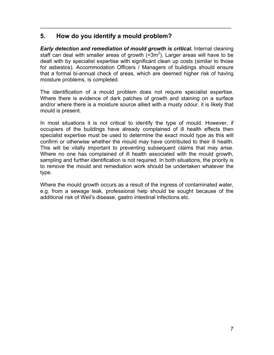## **5. How do you identify a mould problem?**

*Early detection and remediation of mould growth is critical.* Internal cleaning staff can deal with smaller areas of growth  $(<$ 3m<sup>2</sup>). Larger areas will have to be dealt with by specialist expertise with significant clean up costs (similar to those for asbestos). Accommodation Officers / Managers of buildings should ensure that a formal bi-annual check of areas, which are deemed higher risk of having moisture problems, is completed.

\_\_\_\_\_\_\_\_\_\_\_\_\_\_\_\_\_\_\_\_\_\_\_\_\_\_\_\_\_\_\_\_\_\_\_\_\_\_\_\_\_\_\_\_\_\_\_\_\_\_\_\_\_\_\_\_\_\_\_\_\_\_\_\_

The identification of a mould problem does not require specialist expertise. Where there is evidence of dark patches of growth and staining on a surface and/or where there is a moisture source allied with a musty odour, it is likely that mould is present.

In most situations it is not critical to identify the type of mould. However, if occupiers of the buildings have already complained of ill health effects then specialist expertise must be used to determine the exact mould type as this will confirm or otherwise whether the mould may have contributed to their ill health. This will be vitally important to preventing subsequent claims that may arise. Where no one has complained of ill health associated with the mould growth, sampling and further identification is not required. In both situations, the priority is to remove the mould and remediation work should be undertaken whatever the type.

Where the mould growth occurs as a result of the ingress of contaminated water, e.g. from a sewage leak, professional help should be sought because of the additional risk of Weil's disease, gastro intestinal infections etc.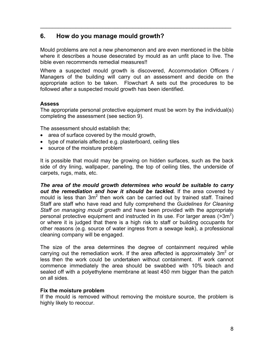## **6. How do you manage mould growth?**

Mould problems are not a new phenomenon and are even mentioned in the bible where it describes a house desecrated by mould as an unfit place to live. The bible even recommends remedial measures!!

\_\_\_\_\_\_\_\_\_\_\_\_\_\_\_\_\_\_\_\_\_\_\_\_\_\_\_\_\_\_\_\_\_\_\_\_\_\_\_\_\_\_\_\_\_\_\_\_\_\_\_\_\_\_\_\_\_\_\_\_\_\_\_\_

Where a suspected mould growth is discovered, Accommodation Officers / Managers of the building will carry out an assessment and decide on the appropriate action to be taken. Flowchart A sets out the procedures to be followed after a suspected mould growth has been identified.

#### **Assess**

The appropriate personal protective equipment must be worn by the individual(s) completing the assessment (see section 9).

The assessment should establish the;

- area of surface covered by the mould growth,
- type of materials affected e.g. plasterboard, ceiling tiles
- source of the moisture problem

It is possible that mould may be growing on hidden surfaces, such as the back side of dry lining, wallpaper, paneling, the top of ceiling tiles, the underside of carpets, rugs, mats, etc.

*The area of the mould growth determines who would be suitable to carry out the remediation and how it should be tackled.* If the area covered by mould is less than  $3m^2$  then work can be carried out by trained staff. Trained Staff are staff who have read and fully comprehend the *Guidelines for Cleaning Staff on managing mould growth* and have been provided with the appropriate personal protective equipment and instructed in its use. For larger areas  $(>3m^2)$ or where it is judged that there is a high risk to staff or building occupants for other reasons (e.g. source of water ingress from a sewage leak), a professional cleaning company will be engaged.

The size of the area determines the degree of containment required while carrying out the remediation work. If the area affected is approximately  $3m^2$  or less then the work could be undertaken without containment. If work cannot commence immediately the area should be swabbed with 10% bleach and sealed off with a polyethylene membrane at least 450 mm bigger than the patch on all sides.

#### **Fix the moisture problem**

If the mould is removed without removing the moisture source, the problem is highly likely to reoccur.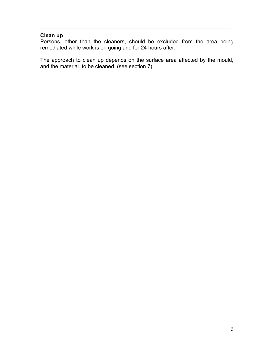#### **Clean up**

Persons, other than the cleaners, should be excluded from the area being remediated while work is on going and for 24 hours after.

\_\_\_\_\_\_\_\_\_\_\_\_\_\_\_\_\_\_\_\_\_\_\_\_\_\_\_\_\_\_\_\_\_\_\_\_\_\_\_\_\_\_\_\_\_\_\_\_\_\_\_\_\_\_\_\_\_\_\_\_\_\_\_\_

The approach to clean up depends on the surface area affected by the mould, and the material to be cleaned. (see section 7)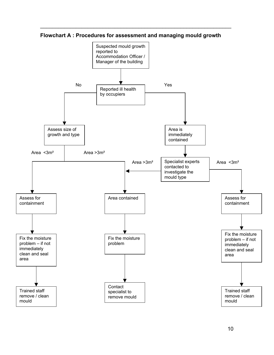

**Flowchart A : Procedures for assessment and managing mould growth**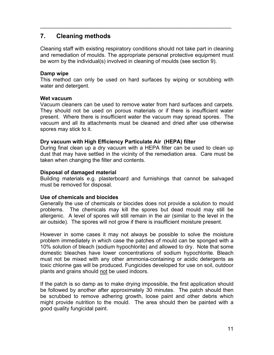## **7. Cleaning methods**

Cleaning staff with existing respiratory conditions should not take part in cleaning and remediation of moulds. The appropriate personal protective equipment must be worn by the individual(s) involved in cleaning of moulds (see section 9).

\_\_\_\_\_\_\_\_\_\_\_\_\_\_\_\_\_\_\_\_\_\_\_\_\_\_\_\_\_\_\_\_\_\_\_\_\_\_\_\_\_\_\_\_\_\_\_\_\_\_\_\_\_\_\_\_\_\_\_\_\_\_\_\_

#### **Damp wipe**

This method can only be used on hard surfaces by wiping or scrubbing with water and detergent.

#### **Wet vacuum**

Vacuum cleaners can be used to remove water from hard surfaces and carpets. They should not be used on porous materials or if there is insufficient water present. Where there is insufficient water the vacuum may spread spores. The vacuum and all its attachments must be cleaned and dried after use otherwise spores may stick to it.

#### **Dry vacuum with High Efficiency Particulate Air (HEPA) filter**

During final clean up a dry vacuum with a HEPA filter can be used to clean up dust that may have settled in the vicinity of the remediation area. Care must be taken when changing the filter and contents.

#### **Disposal of damaged material**

Building materials e.g. plasterboard and furnishings that cannot be salvaged must be removed for disposal.

#### **Use of chemicals and biocides**

Generally the use of chemicals or biocides does not provide a solution to mould problems. The chemicals may kill the spores but dead mould may still be allergenic. A level of spores will still remain in the air (similar to the level in the air outside). The spores will not grow if there is insufficient moisture present.

However in some cases it may not always be possible to solve the moisture problem immediately in which case the patches of mould can be sponged with a 10% solution of bleach (sodium hypochlorite) and allowed to dry. Note that some domestic bleaches have lower concentrations of sodium hypochlorite. Bleach must not be mixed with any other ammonia-containing or acidic detergents as toxic chlorine gas will be produced. Fungicides developed for use on soil, outdoor plants and grains should not be used indoors.

If the patch is so damp as to make drying impossible, the first application should be followed by another after approximately 30 minutes. The patch should then be scrubbed to remove adhering growth, loose paint and other debris which might provide nutrition to the mould. The area should then be painted with a good quality fungicidal paint.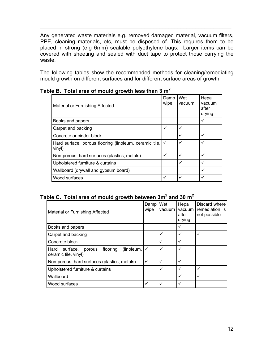Any generated waste materials e.g. removed damaged material, vacuum filters, PPE, cleaning materials, etc, must be disposed of. This requires them to be placed in strong (e.g 6mm) sealable polyethylene bags. Larger items can be covered with sheeting and sealed with duct tape to protect those carrying the waste.

\_\_\_\_\_\_\_\_\_\_\_\_\_\_\_\_\_\_\_\_\_\_\_\_\_\_\_\_\_\_\_\_\_\_\_\_\_\_\_\_\_\_\_\_\_\_\_\_\_\_\_\_\_\_\_\_\_\_\_\_\_\_\_\_

The following tables show the recommended methods for cleaning/remediating mould growth on different surfaces and for different surface areas of growth.

| Material or Furnishing Affected                                  | Damp<br>wipe | Wet<br>vacuum | Hepa<br>vacuum<br>after<br>drying |
|------------------------------------------------------------------|--------------|---------------|-----------------------------------|
| Books and papers                                                 |              |               | ✓                                 |
| Carpet and backing                                               | ✓            | ✓             |                                   |
| Concrete or cinder block                                         |              | ✓             | ✓                                 |
| Hard surface, porous flooring (linoleum, ceramic tile,<br>vinyl) |              | $\checkmark$  | ✓                                 |
| Non-porous, hard surfaces (plastics, metals)                     | ✓            | ✓             | ✓                                 |
| Upholstered furniture & curtains                                 |              | ✓             | ✓                                 |
| Wallboard (drywall and gypsum board)                             |              |               | ✓                                 |
| Wood surfaces                                                    | ✓            | ✓             | ✓                                 |

**Table B. Total area of mould growth less than 3 m2**

### Table C. Total area of mould growth between 3m<sup>2</sup> and 30 m<sup>2</sup>

| Material or Furnishing Affected                                              | Damp<br>wipe | Wet<br>vacuum | Hepa<br>vacuum<br>after<br>drying | Discard where<br>remediation is<br>not possible |
|------------------------------------------------------------------------------|--------------|---------------|-----------------------------------|-------------------------------------------------|
| Books and papers                                                             |              |               | ✓                                 |                                                 |
| Carpet and backing                                                           |              | ✓             | ✓                                 | $\checkmark$                                    |
| Concrete block                                                               |              | ✓             | ✓                                 |                                                 |
| (linoleum,<br>Hard<br>surface,<br>flooring<br>porous<br>ceramic tile, vinyl) | ✓            | ✓             | ✓                                 |                                                 |
| Non-porous, hard surfaces (plastics, metals)                                 | $\checkmark$ | ✓             | $\checkmark$                      |                                                 |
| Upholstered furniture & curtains                                             |              | ✓             | ✓                                 | ✓                                               |
| Wallboard                                                                    |              |               | ✓                                 | ✓                                               |
| Wood surfaces                                                                | ✓            | ✓             | ✓                                 |                                                 |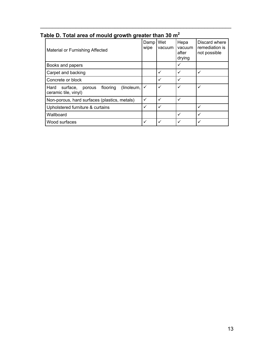| avie D. Total area Of Moulu growth greater than 50 mi                        |              |               |                                   |                                                 |  |  |
|------------------------------------------------------------------------------|--------------|---------------|-----------------------------------|-------------------------------------------------|--|--|
| Material or Furnishing Affected                                              | Damp<br>wipe | Wet<br>vacuum | Hepa<br>vacuum<br>after<br>drying | Discard where<br>remediation is<br>not possible |  |  |
| Books and papers                                                             |              |               | $\checkmark$                      |                                                 |  |  |
| Carpet and backing                                                           |              |               | $\checkmark$                      | ✓                                               |  |  |
| Concrete or block                                                            |              | ✓             | $\checkmark$                      |                                                 |  |  |
| (linoleum,<br>flooring<br>Hard<br>surface,<br>porous<br>ceramic tile, vinyl) |              | ✓             | $\checkmark$                      | ✓                                               |  |  |
| Non-porous, hard surfaces (plastics, metals)                                 | ✓            | ✓             | $\checkmark$                      |                                                 |  |  |
| Upholstered furniture & curtains                                             | ✓            | ✓             |                                   | ✓                                               |  |  |
| Wallboard                                                                    |              |               | $\checkmark$                      | ✓                                               |  |  |
| Wood surfaces                                                                | ✓            |               | ✓                                 |                                                 |  |  |

## **Table D. Total area of mould growth greater than 30 m2**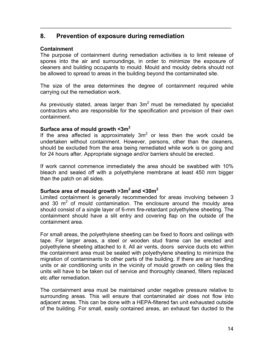## **8. Prevention of exposure during remediation**

#### **Containment**

The purpose of containment during remediation activities is to limit release of spores into the air and surroundings, in order to minimize the exposure of cleaners and building occupants to mould. Mould and mouldy debris should not be allowed to spread to areas in the building beyond the contaminated site.

\_\_\_\_\_\_\_\_\_\_\_\_\_\_\_\_\_\_\_\_\_\_\_\_\_\_\_\_\_\_\_\_\_\_\_\_\_\_\_\_\_\_\_\_\_\_\_\_\_\_\_\_\_\_\_\_\_\_\_\_\_\_\_\_

The size of the area determines the degree of containment required while carrying out the remediation work.

As previously stated, areas larger than  $3m<sup>2</sup>$  must be remediated by specialist contractors who are responsible for the specification and provision of their own containment.

#### **Surface area of mould growth <3m<sup>2</sup>**

If the area affected is approximately  $3m^2$  or less then the work could be undertaken without containment. However, persons, other than the cleaners, should be excluded from the area being remediated while work is on going and for 24 hours after. Appropriate signage and/or barriers should be erected.

If work cannot commence immediately the area should be swabbed with 10% bleach and sealed off with a polyethylene membrane at least 450 mm bigger than the patch on all sides.

#### **Surface area of mould growth >3m2 and <30m2**

Limited containment is generally recommended for areas involving between 3 and 30  $\mathrm{m}^2$  of mould contamination. The enclosure around the mouldy area should consist of a single layer of 6-mm fire-retardant polyethylene sheeting. The containment should have a slit entry and covering flap on the outside of the containment area.

For small areas, the polyethylene sheeting can be fixed to floors and ceilings with tape. For larger areas, a steel or wooden stud frame can be erected and polyethylene sheeting attached to it. All air vents, doors service ducts etc within the containment area must be sealed with polyethylene sheeting to minimize the migration of contaminants to other parts of the building. If there are air handling units or air conditioning units in the vicinity of mould growth on ceiling tiles the units will have to be taken out of service and thoroughly cleaned, filters replaced etc after remediation.

The containment area must be maintained under negative pressure relative to surrounding areas. This will ensure that contaminated air does not flow into adjacent areas. This can be done with a HEPA-filtered fan unit exhausted outside of the building. For small, easily contained areas, an exhaust fan ducted to the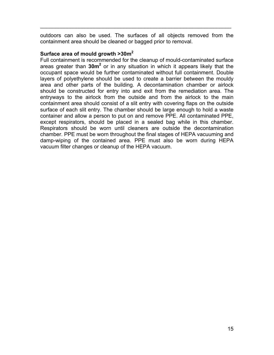outdoors can also be used. The surfaces of all objects removed from the containment area should be cleaned or bagged prior to removal.

\_\_\_\_\_\_\_\_\_\_\_\_\_\_\_\_\_\_\_\_\_\_\_\_\_\_\_\_\_\_\_\_\_\_\_\_\_\_\_\_\_\_\_\_\_\_\_\_\_\_\_\_\_\_\_\_\_\_\_\_\_\_\_\_

#### **Surface area of mould growth >30m<sup>2</sup>**

Full containment is recommended for the cleanup of mould-contaminated surface areas greater than 30m<sup>2</sup> or in any situation in which it appears likely that the occupant space would be further contaminated without full containment. Double layers of polyethylene should be used to create a barrier between the mouldy area and other parts of the building. A decontamination chamber or airlock should be constructed for entry into and exit from the remediation area. The entryways to the airlock from the outside and from the airlock to the main containment area should consist of a slit entry with covering flaps on the outside surface of each slit entry. The chamber should be large enough to hold a waste container and allow a person to put on and remove PPE. All contaminated PPE, except respirators, should be placed in a sealed bag while in this chamber. Respirators should be worn until cleaners are outside the decontamination chamber. PPE must be worn throughout the final stages of HEPA vacuuming and damp-wiping of the contained area. PPE must also be worn during HEPA vacuum filter changes or cleanup of the HEPA vacuum.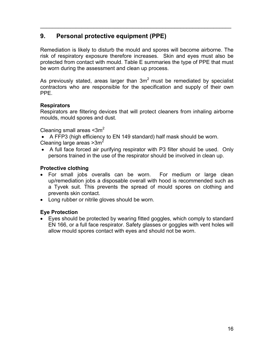## **9. Personal protective equipment (PPE)**

Remediation is likely to disturb the mould and spores will become airborne. The risk of respiratory exposure therefore increases. Skin and eyes must also be protected from contact with mould. Table E summaries the type of PPE that must be worn during the assessment and clean up process.

\_\_\_\_\_\_\_\_\_\_\_\_\_\_\_\_\_\_\_\_\_\_\_\_\_\_\_\_\_\_\_\_\_\_\_\_\_\_\_\_\_\_\_\_\_\_\_\_\_\_\_\_\_\_\_\_\_\_\_\_\_\_\_\_

As previously stated, areas larger than  $3m^2$  must be remediated by specialist contractors who are responsible for the specification and supply of their own PPE.

#### **Respirators**

Respirators are filtering devices that will protect cleaners from inhaling airborne moulds, mould spores and dust.

Cleaning small areas  $\leq 3m^2$ 

- A FFP3 (high efficiency to EN 149 standard) half mask should be worn. Cleaning large areas  $>3m^2$
- A full face forced air purifying respirator with P3 filter should be used. Only persons trained in the use of the respirator should be involved in clean up.

#### **Protective clothing**

- For small jobs overalls can be worn. For medium or large clean up/remediation jobs a disposable overall with hood is recommended such as a Tyvek suit. This prevents the spread of mould spores on clothing and prevents skin contact.
- Long rubber or nitrile gloves should be worn.

#### **Eye Protection**

• Eyes should be protected by wearing fitted goggles, which comply to standard EN 166, or a full face respirator. Safety glasses or goggles with vent holes will allow mould spores contact with eyes and should not be worn.